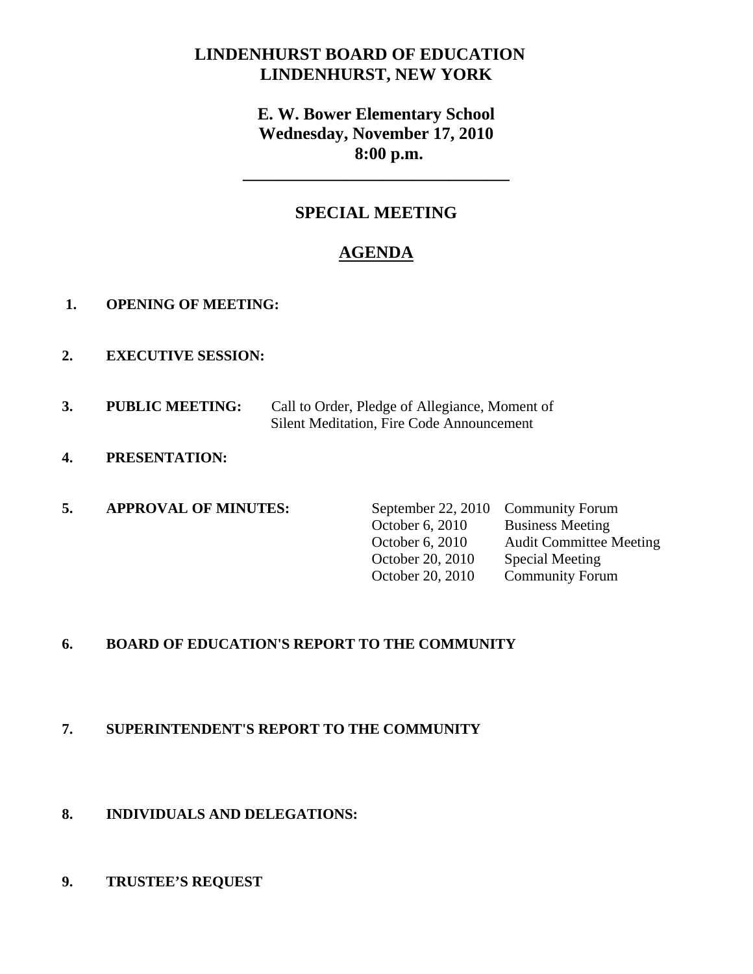# **LINDENHURST BOARD OF EDUCATION LINDENHURST, NEW YORK**

# **E. W. Bower Elementary School Wednesday, November 17, 2010 8:00 p.m.**

# **SPECIAL MEETING**

**\_\_\_\_\_\_\_\_\_\_\_\_\_\_\_\_\_\_\_\_\_\_\_\_\_\_\_\_\_\_\_** 

# **AGENDA**

- **1. OPENING OF MEETING:**
- **2. EXECUTIVE SESSION:**
- **3. PUBLIC MEETING:** Call to Order, Pledge of Allegiance, Moment of Silent Meditation, Fire Code Announcement
- **4. PRESENTATION:**
- **5. APPROVAL OF MINUTES:** September 22, 2010 Community Forum
	- October 6, 2010 Business Meeting October 6, 2010 Audit Committee Meeting October 20, 2010 Special Meeting October 20, 2010 Community Forum

### **6. BOARD OF EDUCATION'S REPORT TO THE COMMUNITY**

### **7. SUPERINTENDENT'S REPORT TO THE COMMUNITY**

### **8. INDIVIDUALS AND DELEGATIONS:**

### **9. TRUSTEE'S REQUEST**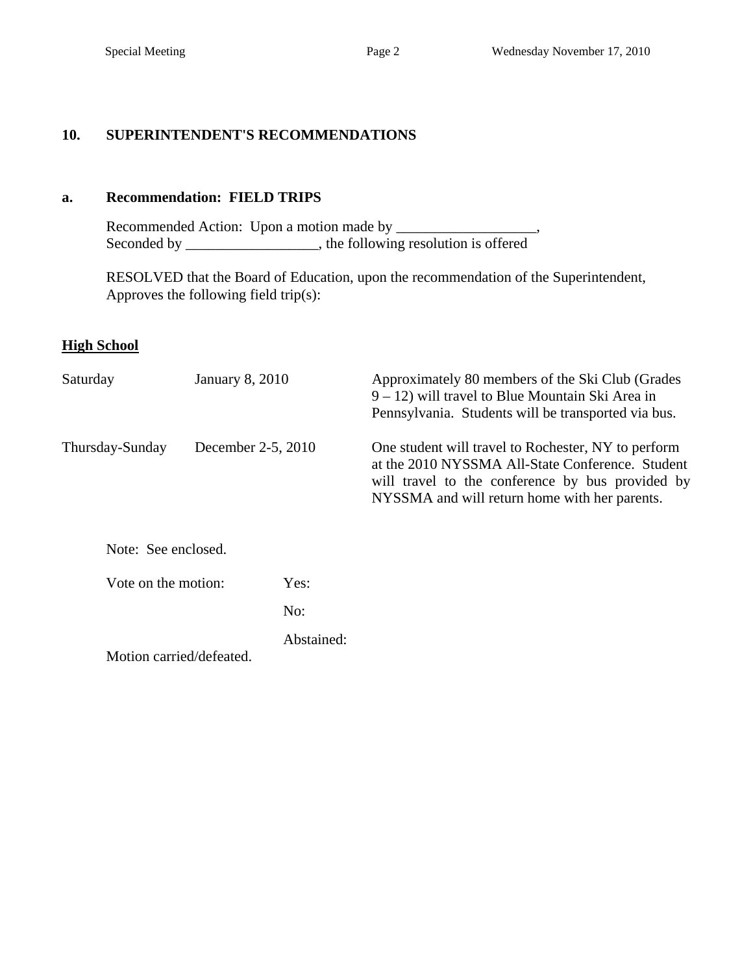### **10. SUPERINTENDENT'S RECOMMENDATIONS**

### **a. Recommendation: FIELD TRIPS**

 Recommended Action: Upon a motion made by \_\_\_\_\_\_\_\_\_\_\_\_\_\_\_\_\_\_\_, Seconded by \_\_\_\_\_\_\_\_\_\_\_\_\_, the following resolution is offered  $\overline{\phantom{a}}$ ,

 RESOLVED that the Board of Education, upon the recommendation of the Superintendent, Approves the following field trip(s):

### **High School**

| Saturday                 | January 8, 2010    |            | Approximately 80 members of the Ski Club (Grades)<br>$9 - 12$ ) will travel to Blue Mountain Ski Area in<br>Pennsylvania. Students will be transported via bus.                                              |  |  |
|--------------------------|--------------------|------------|--------------------------------------------------------------------------------------------------------------------------------------------------------------------------------------------------------------|--|--|
| Thursday-Sunday          | December 2-5, 2010 |            | One student will travel to Rochester, NY to perform<br>at the 2010 NYSSMA All-State Conference. Student<br>will travel to the conference by bus provided by<br>NYSSMA and will return home with her parents. |  |  |
| Note: See enclosed.      |                    |            |                                                                                                                                                                                                              |  |  |
| Vote on the motion:      |                    | Yes:       |                                                                                                                                                                                                              |  |  |
|                          |                    | No:        |                                                                                                                                                                                                              |  |  |
| Motion carried/defeated. |                    | Abstained: |                                                                                                                                                                                                              |  |  |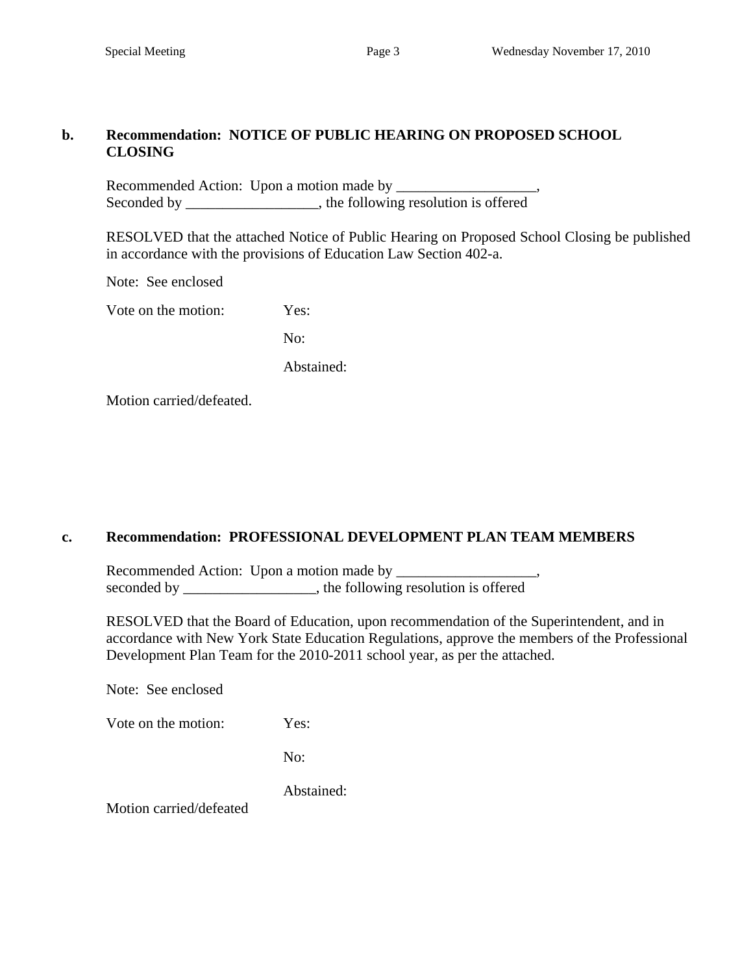### **b. Recommendation: NOTICE OF PUBLIC HEARING ON PROPOSED SCHOOL CLOSING**

Recommended Action: Upon a motion made by \_\_\_\_\_\_\_\_\_\_\_\_\_\_\_\_\_\_\_, Seconded by \_\_\_\_\_\_\_\_\_\_\_\_\_\_\_\_, the following resolution is offered

RESOLVED that the attached Notice of Public Hearing on Proposed School Closing be published in accordance with the provisions of Education Law Section 402-a.

Note: See enclosed

Vote on the motion: Yes:

No:

Abstained:

Motion carried/defeated.

### **c. Recommendation: PROFESSIONAL DEVELOPMENT PLAN TEAM MEMBERS**

 Recommended Action: Upon a motion made by \_\_\_\_\_\_\_\_\_\_\_\_\_\_\_\_\_\_\_, seconded by \_\_\_\_\_\_\_\_\_\_\_\_\_\_\_, the following resolution is offered

 RESOLVED that the Board of Education, upon recommendation of the Superintendent, and in accordance with New York State Education Regulations, approve the members of the Professional Development Plan Team for the 2010-2011 school year, as per the attached.

Note: See enclosed

Vote on the motion: Yes:

No:

Abstained:

Motion carried/defeated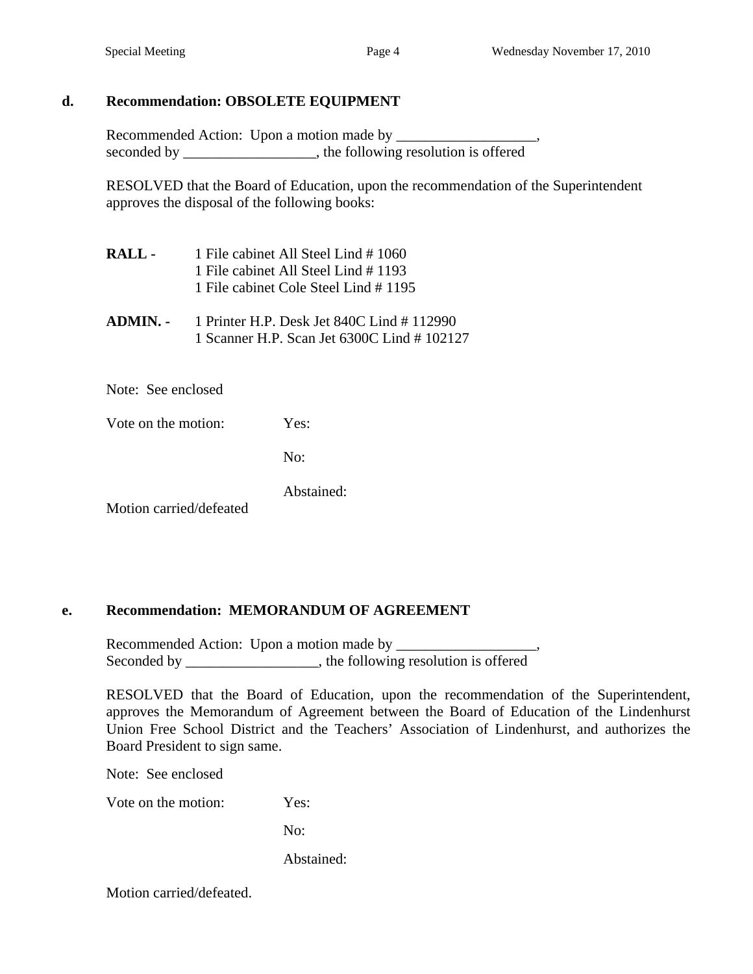### **d. Recommendation: OBSOLETE EQUIPMENT**

Recommended Action: Upon a motion made by \_\_\_\_\_\_\_\_\_\_\_\_\_\_\_\_\_\_\_, seconded by \_\_\_\_\_\_\_\_\_\_\_\_\_\_\_\_, the following resolution is offered

 RESOLVED that the Board of Education, upon the recommendation of the Superintendent approves the disposal of the following books:

- **RALL** 1 File cabinet All Steel Lind # 1060 1 File cabinet All Steel Lind # 1193 1 File cabinet Cole Steel Lind # 1195
- **ADMIN.** 1 Printer H.P. Desk Jet 840C Lind # 112990 1 Scanner H.P. Scan Jet 6300C Lind # 102127

Note: See enclosed

Vote on the motion: Yes:

No:

Abstained:

Motion carried/defeated

### **e. Recommendation: MEMORANDUM OF AGREEMENT**

Recommended Action: Upon a motion made by \_\_\_\_\_\_\_\_\_\_\_\_\_\_\_\_\_\_\_, Seconded by \_\_\_\_\_\_\_\_\_\_\_\_\_\_\_, the following resolution is offered

RESOLVED that the Board of Education, upon the recommendation of the Superintendent, approves the Memorandum of Agreement between the Board of Education of the Lindenhurst Union Free School District and the Teachers' Association of Lindenhurst, and authorizes the Board President to sign same.

Note: See enclosed

Vote on the motion: Yes:

No:

Abstained:

Motion carried/defeated.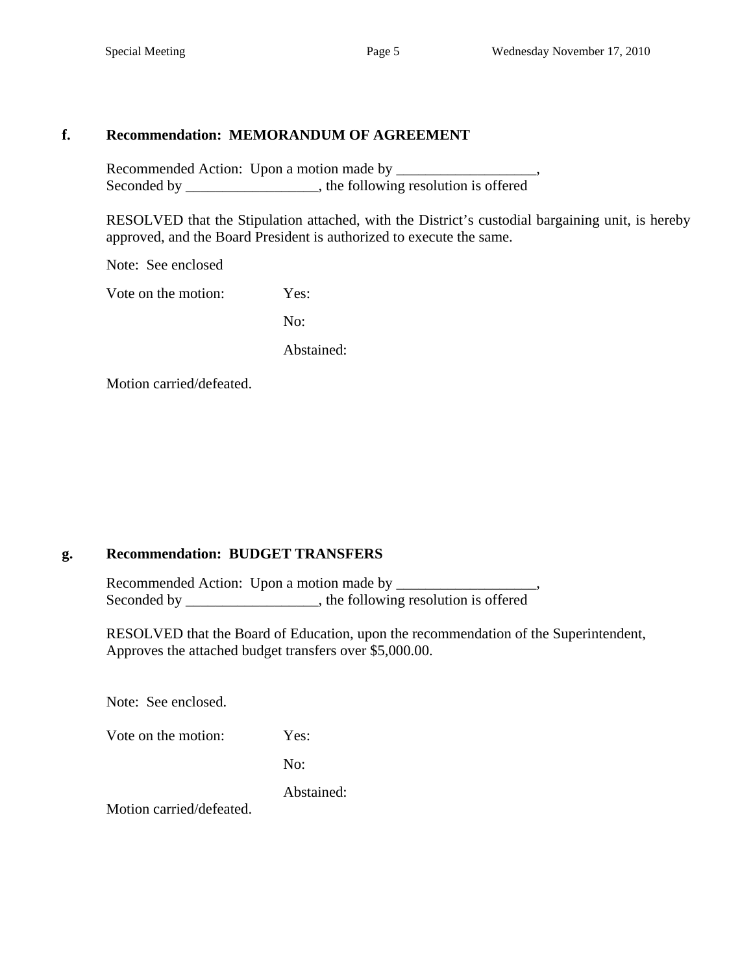### **f. Recommendation: MEMORANDUM OF AGREEMENT**

Recommended Action: Upon a motion made by \_\_\_\_\_\_\_\_\_\_\_\_\_\_\_\_\_\_\_, Seconded by \_\_\_\_\_\_\_\_\_\_\_\_\_\_\_, the following resolution is offered

RESOLVED that the Stipulation attached, with the District's custodial bargaining unit, is hereby approved, and the Board President is authorized to execute the same.

Note: See enclosed

Vote on the motion: Yes:

No:

Abstained:

Motion carried/defeated.

### **g. Recommendation: BUDGET TRANSFERS**

Recommended Action: Upon a motion made by Seconded by \_\_\_\_\_\_\_\_\_\_\_\_\_\_\_, the following resolution is offered

 RESOLVED that the Board of Education, upon the recommendation of the Superintendent, Approves the attached budget transfers over \$5,000.00.

Note: See enclosed.

| Vote on the motion: | Yes: |
|---------------------|------|
|---------------------|------|

No:

Abstained:

Motion carried/defeated.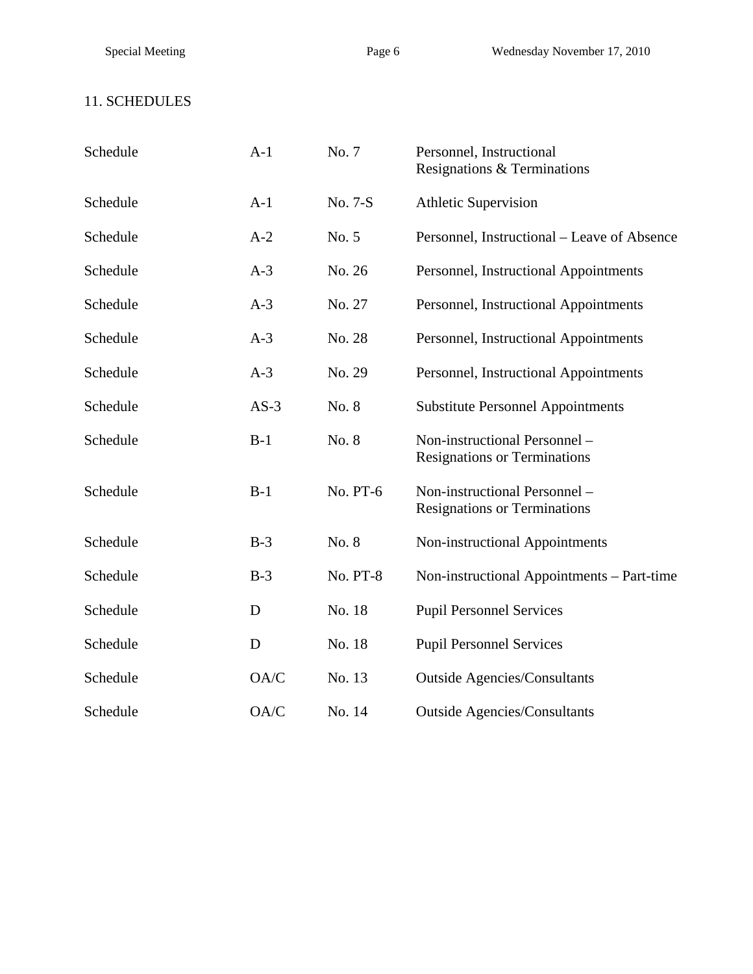# 11. SCHEDULES

| Schedule | $A-1$  | No. 7           | Personnel, Instructional<br>Resignations & Terminations              |
|----------|--------|-----------------|----------------------------------------------------------------------|
| Schedule | $A-1$  | No. 7-S         | <b>Athletic Supervision</b>                                          |
| Schedule | $A-2$  | No. 5           | Personnel, Instructional – Leave of Absence                          |
| Schedule | $A-3$  | No. 26          | Personnel, Instructional Appointments                                |
| Schedule | $A-3$  | No. 27          | Personnel, Instructional Appointments                                |
| Schedule | $A-3$  | No. 28          | Personnel, Instructional Appointments                                |
| Schedule | $A-3$  | No. 29          | Personnel, Instructional Appointments                                |
| Schedule | $AS-3$ | No. 8           | <b>Substitute Personnel Appointments</b>                             |
| Schedule | $B-1$  | No. 8           | Non-instructional Personnel -<br><b>Resignations or Terminations</b> |
| Schedule | $B-1$  | No. PT-6        | Non-instructional Personnel -<br><b>Resignations or Terminations</b> |
| Schedule | $B-3$  | No. 8           | Non-instructional Appointments                                       |
| Schedule | $B-3$  | <b>No. PT-8</b> | Non-instructional Appointments - Part-time                           |
| Schedule | D      | No. 18          | <b>Pupil Personnel Services</b>                                      |
| Schedule | D      | No. 18          | <b>Pupil Personnel Services</b>                                      |
| Schedule | OA/C   | No. 13          | <b>Outside Agencies/Consultants</b>                                  |
| Schedule | OA/C   | No. 14          | <b>Outside Agencies/Consultants</b>                                  |